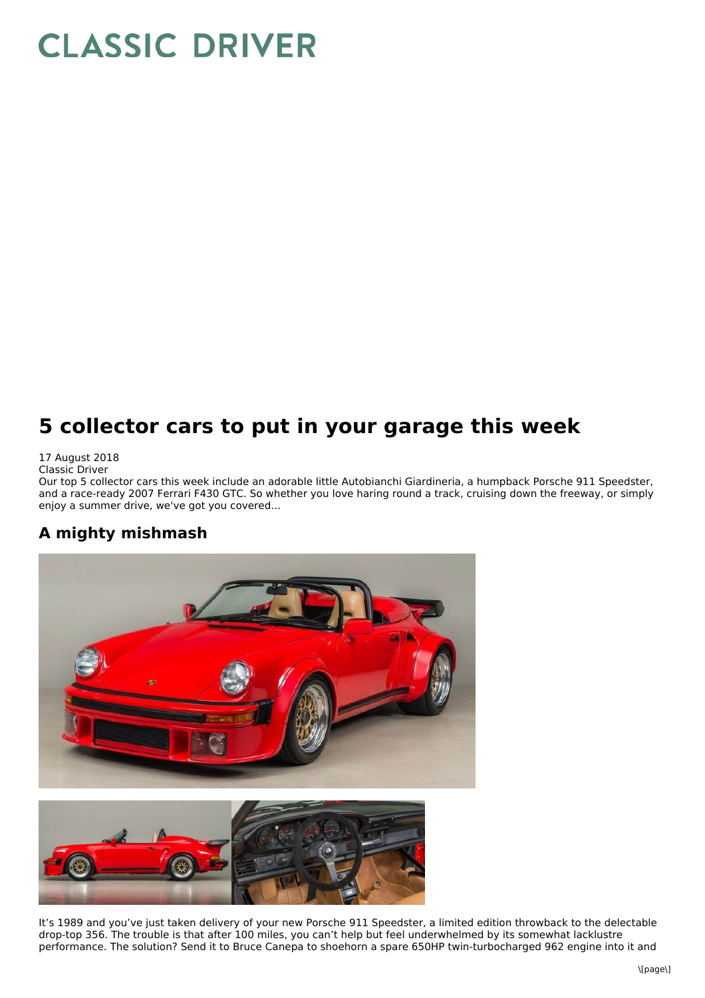# **CLASSIC DRIVER**

## **5 collector cars to put in your garage this week**

17 August 2018 Classic Driver

Our top 5 collector cars this week include an adorable little Autobianchi Giardineria, a humpback Porsche 911 Speedster, and a race-ready 2007 Ferrari F430 GTC. So whether you love haring round a track, cruising down the freeway, or simply enjoy a summer drive, we've got you covered...

#### **A mighty mishmash**





It's 1989 and you've just taken delivery of your new Porsche 911 Speedster, a limited edition throwback to the delectable drop-top 356. The trouble is that after 100 miles, you can't help but feel underwhelmed by its somewhat lacklustre performance. The solution? Send it to Bruce Canepa to shoehorn a spare 650HP twin-turbocharged 962 engine into it and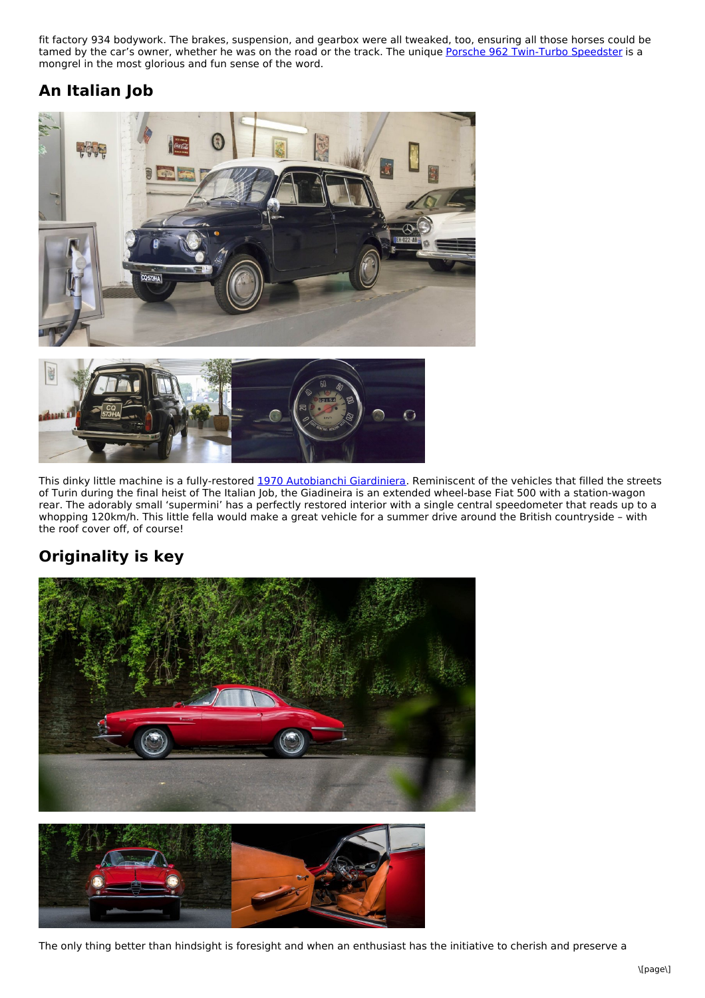fit factory 934 bodywork. The brakes, suspension, and gearbox were all tweaked, too, ensuring all those horses could be tamed by the car's owner, whether he was on the road or the track. The unique Porsche 962 [Twin-Turbo](https://www.classicdriver.com/de/car/porsche/962/1989/551916) Speedster is a mongrel in the most glorious and fun sense of the word.

### **An Italian Job**





This dinky little machine is a fully-restored 1970 [Autobianchi](https://www.classicdriver.com/en/car/autobianchi/giardinera/1970/547253) Giardiniera. Reminiscent of the vehicles that filled the streets of Turin during the final heist of The Italian Job, the Giadineira is an extended wheel-base Fiat 500 with a station-wagon rear. The adorably small 'supermini' has a perfectly restored interior with a single central speedometer that reads up to a whopping 120km/h. This little fella would make a great vehicle for a summer drive around the British countryside – with the roof cover off, of course!

### **Originality is key**





The only thing better than hindsight is foresight and when an enthusiast has the initiative to cherish and preserve a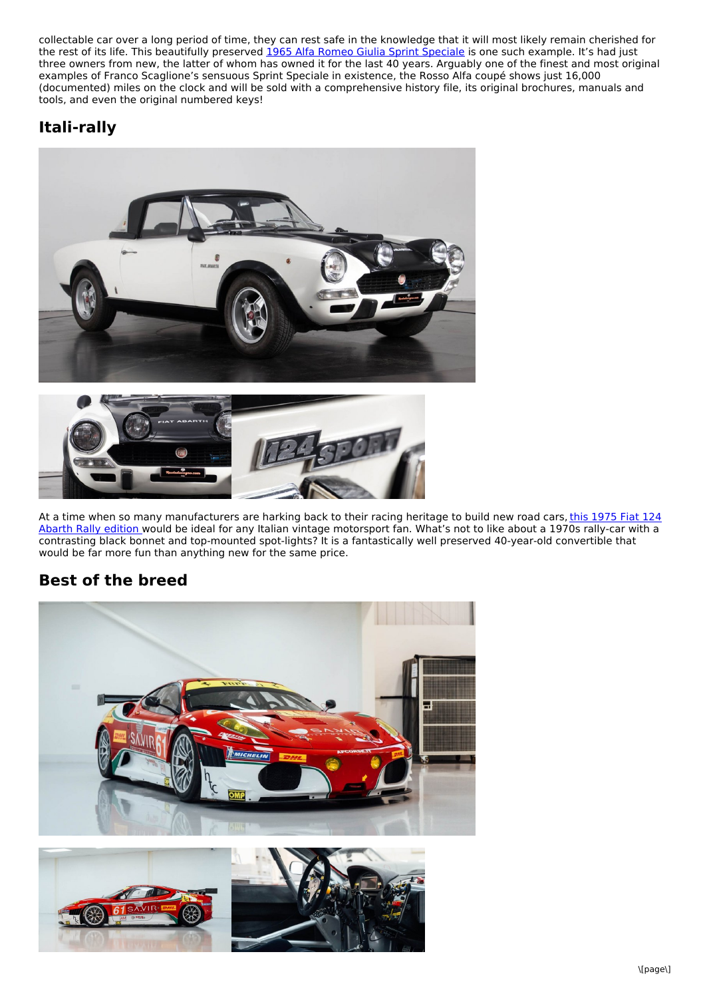collectable car over a long period of time, they can rest safe in the knowledge that it will most likely remain cherished for the rest of its life. This beautifully preserved 1965 Alfa Romeo Giulia Sprint [Speciale](https://www.classicdriver.com/de/car/alfa-romeo/giulia/1965/553012) is one such example. It's had just three owners from new, the latter of whom has owned it for the last 40 years. Arguably one of the finest and most original examples of Franco Scaglione's sensuous Sprint Speciale in existence, the Rosso Alfa coupé shows just 16,000 (documented) miles on the clock and will be sold with a comprehensive history file, its original brochures, manuals and tools, and even the original numbered keys!

#### **Itali-rally**





At a time when so many [manufacturers](https://www.classicdriver.com/en/car/fiat/124/1975/550740) are harking back to their racing heritage to build new road cars, this 1975 Fiat 124 Abarth Rally edition would be ideal for any Italian vintage motorsport fan. What's not to like about a 1970s rally-car with a contrasting black bonnet and top-mounted spot-lights? It is a fantastically well preserved 40-year-old convertible that would be far more fun than anything new for the same price.

#### **Best of the breed**